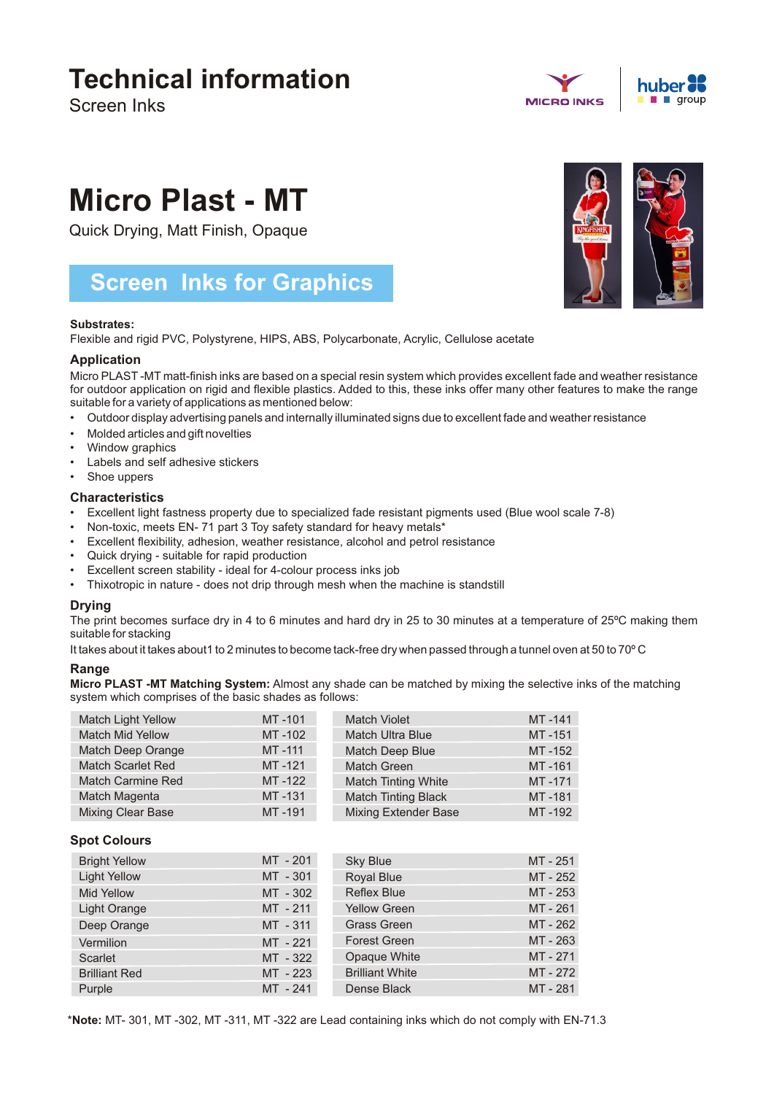## **Technical information**

Screen Inks





# **Micro Plast - MT**

Quick Drying, Matt Finish, Opaque

### **Screen Inks for Graphics**

#### **Substrates:**

Flexible and rigid PVC, Polystyrene, HIPS, ABS, Polycarbonate, Acrylic, Cellulose acetate

#### **Application**

Micro PLAST -MT matt-finish inks are based on a special resin system which provides excellent fade and weather resistance for outdoor application on rigid and flexible plastics. Added to this, these inks offer many other features to make the range suitable for a variety of applications as mentioned below:

- Outdoor display advertising panels and internally illuminated signs due to excellent fade and weather resistance
- Molded articles and gift novelties
- Window graphics
- Labels and self adhesive stickers
- Shoe uppers

#### **Characteristics**

- Excellent light fastness property due to specialized fade resistant pigments used (Blue wool scale 7-8)
- Non-toxic, meets EN- 71 part 3 Toy safety standard for heavy metals\*
- Excellent flexibility, adhesion, weather resistance, alcohol and petrol resistance
- Quick drying suitable for rapid production
- Excellent screen stability ideal for 4-colour process inks job
- Thixotropic in nature does not drip through mesh when the machine is standstill

#### **Drying**

The print becomes surface dry in 4 to 6 minutes and hard dry in 25 to 30 minutes at a temperature of 25ºC making them suitable for stacking

It takes about it takes about1 to 2 minutes to become tack-free dry when passed through a tunnel oven at 50 to 70°C

#### **Range**

**Micro PLAST -MT Matching System:** Almost any shade can be matched by mixing the selective inks of the matching system which comprises of the basic shades as follows:

| <b>Match Light Yellow</b> | MT-101 | <b>Match Violet</b>         | MT-141 |
|---------------------------|--------|-----------------------------|--------|
| <b>Match Mid Yellow</b>   | MT-102 | <b>Match Ultra Blue</b>     | MT-151 |
| Match Deep Orange         | MT-111 | Match Deep Blue             | MT-152 |
| <b>Match Scarlet Red</b>  | MT-121 | Match Green                 | MT-161 |
| <b>Match Carmine Red</b>  | MT-122 | <b>Match Tinting White</b>  | MT-171 |
| Match Magenta             | MT-131 | <b>Match Tinting Black</b>  | MT-181 |
| <b>Mixing Clear Base</b>  | MT-191 | <b>Mixing Extender Base</b> | MT-192 |

#### **Spot Colours**

| <b>Bright Yellow</b> | MT - 201   | <b>Sky Blue</b>        | MT-251   |
|----------------------|------------|------------------------|----------|
| <b>Light Yellow</b>  | MT - 301   | <b>Royal Blue</b>      | MT - 252 |
| <b>Mid Yellow</b>    | MT - 302   | <b>Reflex Blue</b>     | MT - 253 |
| <b>Light Orange</b>  | MT - 211   | <b>Yellow Green</b>    | MT-261   |
| Deep Orange          | MT - 311   | <b>Grass Green</b>     | MT - 262 |
| Vermilion            | MT - 221   | <b>Forest Green</b>    | MT-263   |
| Scarlet              | MT - 322   | Opaque White           | MT-271   |
| <b>Brilliant Red</b> | $MT - 223$ | <b>Brilliant White</b> | MT - 272 |
| Purple               | MT - 241   | Dense Black            | MT-281   |